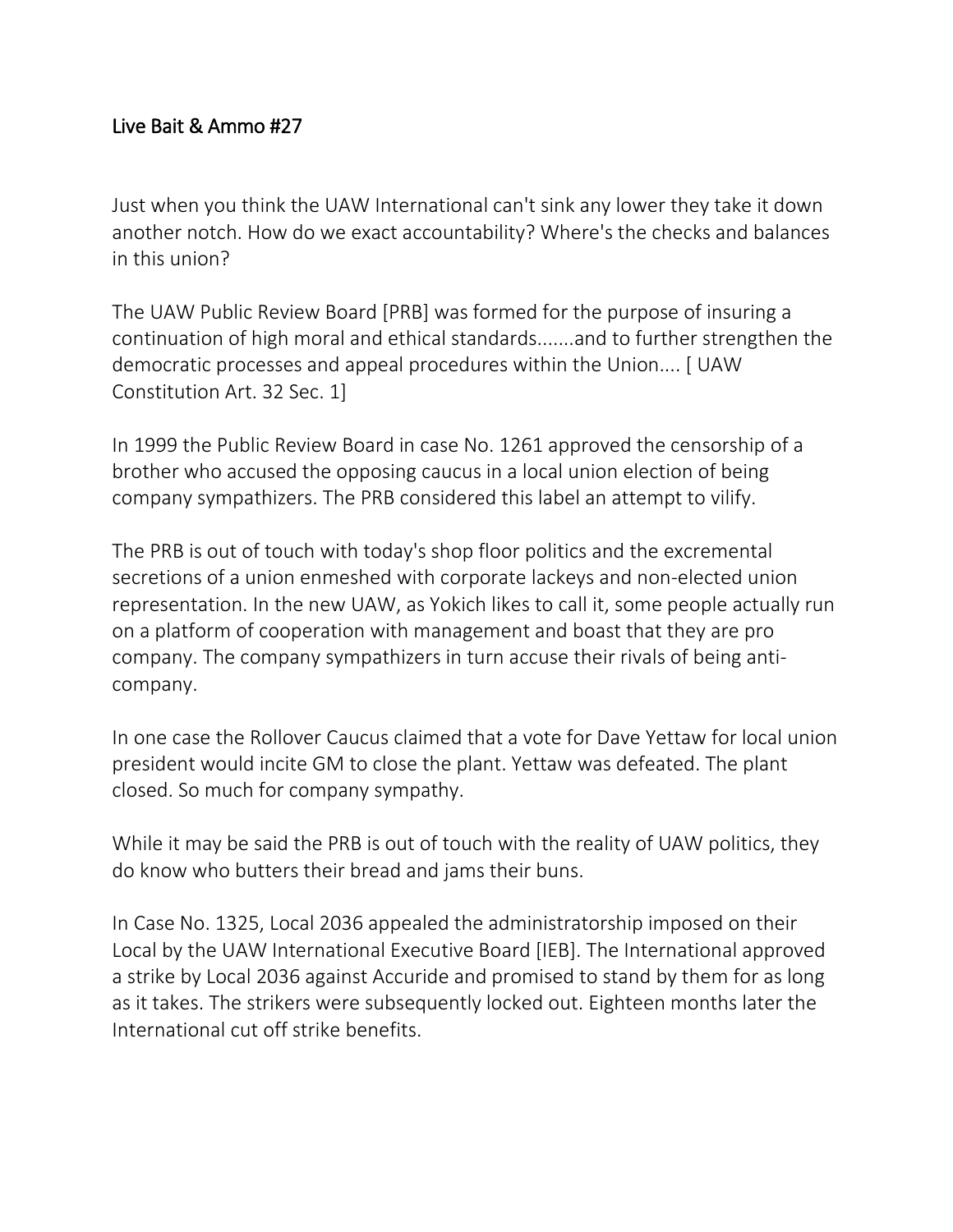## Live Bait & Ammo #27

Just when you think the UAW International can't sink any lower they take it down another notch. How do we exact accountability? Where's the checks and balances in this union?

The UAW Public Review Board [PRB] was formed for the purpose of insuring a continuation of high moral and ethical standards.......and to further strengthen the democratic processes and appeal procedures within the Union.... [ UAW Constitution Art. 32 Sec. 1]

In 1999 the Public Review Board in case No. 1261 approved the censorship of a brother who accused the opposing caucus in a local union election of being company sympathizers. The PRB considered this label an attempt to vilify.

The PRB is out of touch with today's shop floor politics and the excremental secretions of a union enmeshed with corporate lackeys and non-elected union representation. In the new UAW, as Yokich likes to call it, some people actually run on a platform of cooperation with management and boast that they are pro company. The company sympathizers in turn accuse their rivals of being anticompany.

In one case the Rollover Caucus claimed that a vote for Dave Yettaw for local union president would incite GM to close the plant. Yettaw was defeated. The plant closed. So much for company sympathy.

While it may be said the PRB is out of touch with the reality of UAW politics, they do know who butters their bread and jams their buns.

In Case No. 1325, Local 2036 appealed the administratorship imposed on their Local by the UAW International Executive Board [IEB]. The International approved a strike by Local 2036 against Accuride and promised to stand by them for as long as it takes. The strikers were subsequently locked out. Eighteen months later the International cut off strike benefits.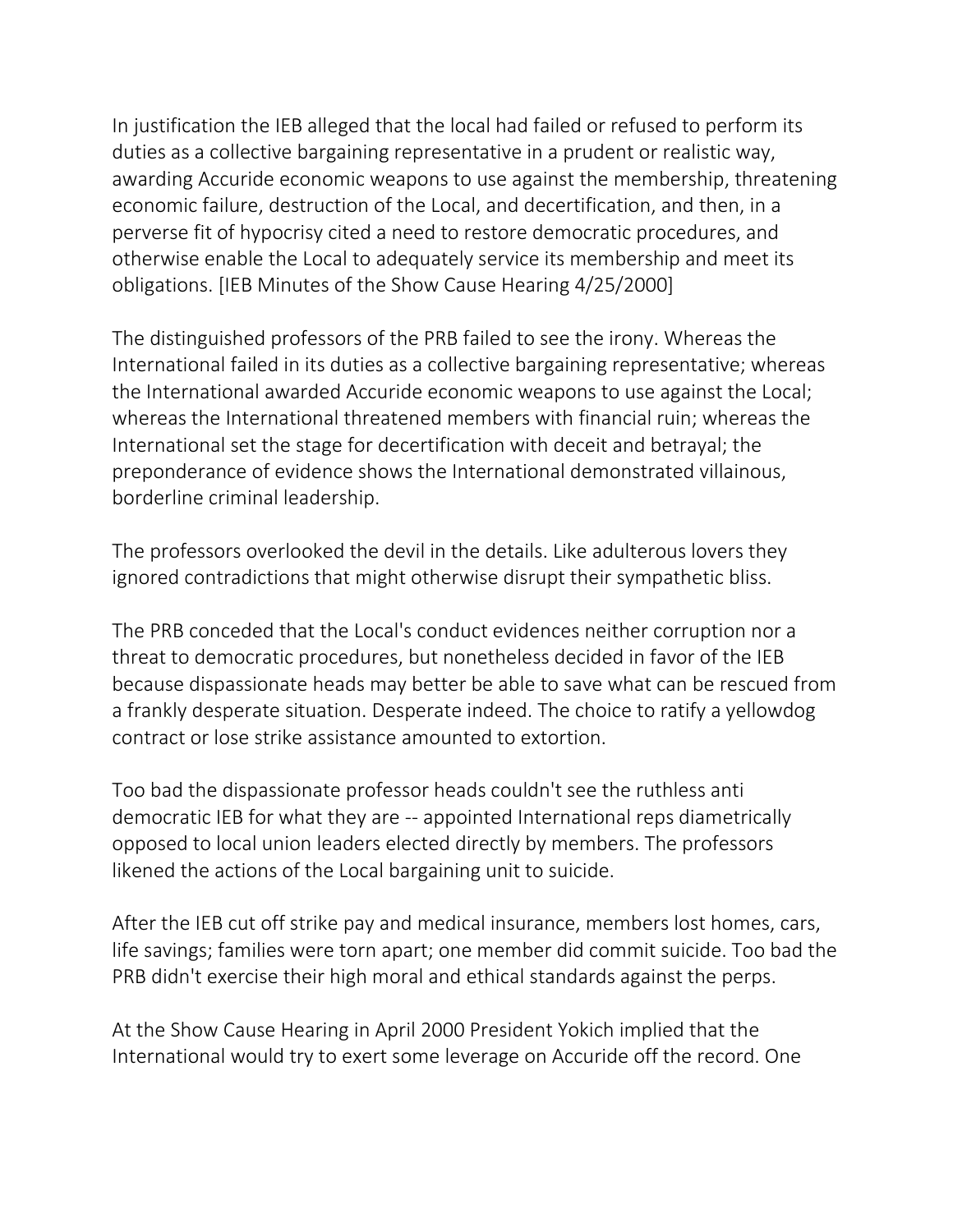In justification the IEB alleged that the local had failed or refused to perform its duties as a collective bargaining representative in a prudent or realistic way, awarding Accuride economic weapons to use against the membership, threatening economic failure, destruction of the Local, and decertification, and then, in a perverse fit of hypocrisy cited a need to restore democratic procedures, and otherwise enable the Local to adequately service its membership and meet its obligations. [IEB Minutes of the Show Cause Hearing 4/25/2000]

The distinguished professors of the PRB failed to see the irony. Whereas the International failed in its duties as a collective bargaining representative; whereas the International awarded Accuride economic weapons to use against the Local; whereas the International threatened members with financial ruin; whereas the International set the stage for decertification with deceit and betrayal; the preponderance of evidence shows the International demonstrated villainous, borderline criminal leadership.

The professors overlooked the devil in the details. Like adulterous lovers they ignored contradictions that might otherwise disrupt their sympathetic bliss.

The PRB conceded that the Local's conduct evidences neither corruption nor a threat to democratic procedures, but nonetheless decided in favor of the IEB because dispassionate heads may better be able to save what can be rescued from a frankly desperate situation. Desperate indeed. The choice to ratify a yellowdog contract or lose strike assistance amounted to extortion.

Too bad the dispassionate professor heads couldn't see the ruthless anti democratic IEB for what they are -- appointed International reps diametrically opposed to local union leaders elected directly by members. The professors likened the actions of the Local bargaining unit to suicide.

After the IEB cut off strike pay and medical insurance, members lost homes, cars, life savings; families were torn apart; one member did commit suicide. Too bad the PRB didn't exercise their high moral and ethical standards against the perps.

At the Show Cause Hearing in April 2000 President Yokich implied that the International would try to exert some leverage on Accuride off the record. One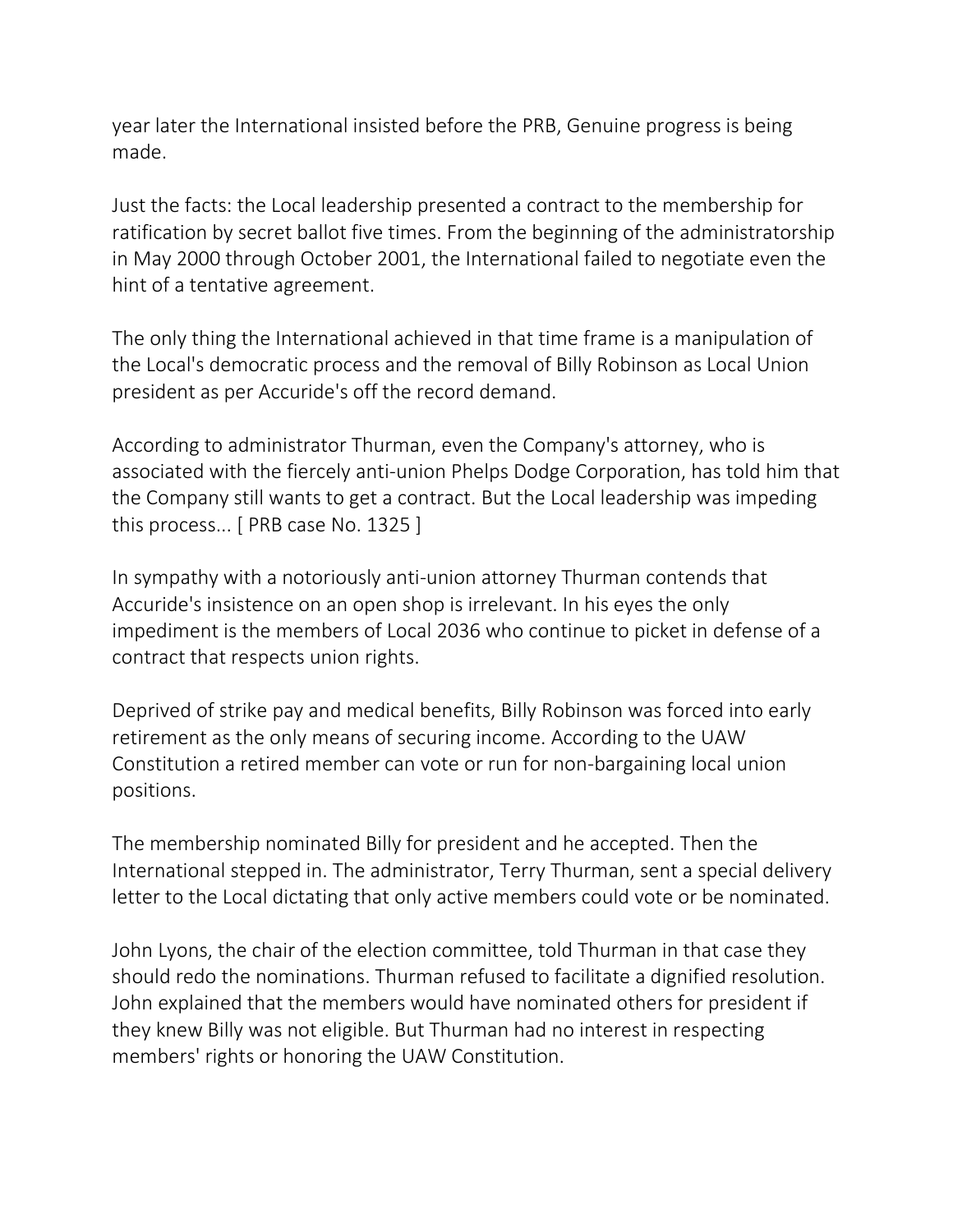year later the International insisted before the PRB, Genuine progress is being made.

Just the facts: the Local leadership presented a contract to the membership for ratification by secret ballot five times. From the beginning of the administratorship in May 2000 through October 2001, the International failed to negotiate even the hint of a tentative agreement.

The only thing the International achieved in that time frame is a manipulation of the Local's democratic process and the removal of Billy Robinson as Local Union president as per Accuride's off the record demand.

According to administrator Thurman, even the Company's attorney, who is associated with the fiercely anti-union Phelps Dodge Corporation, has told him that the Company still wants to get a contract. But the Local leadership was impeding this process... [ PRB case No. 1325 ]

In sympathy with a notoriously anti-union attorney Thurman contends that Accuride's insistence on an open shop is irrelevant. In his eyes the only impediment is the members of Local 2036 who continue to picket in defense of a contract that respects union rights.

Deprived of strike pay and medical benefits, Billy Robinson was forced into early retirement as the only means of securing income. According to the UAW Constitution a retired member can vote or run for non-bargaining local union positions.

The membership nominated Billy for president and he accepted. Then the International stepped in. The administrator, Terry Thurman, sent a special delivery letter to the Local dictating that only active members could vote or be nominated.

John Lyons, the chair of the election committee, told Thurman in that case they should redo the nominations. Thurman refused to facilitate a dignified resolution. John explained that the members would have nominated others for president if they knew Billy was not eligible. But Thurman had no interest in respecting members' rights or honoring the UAW Constitution.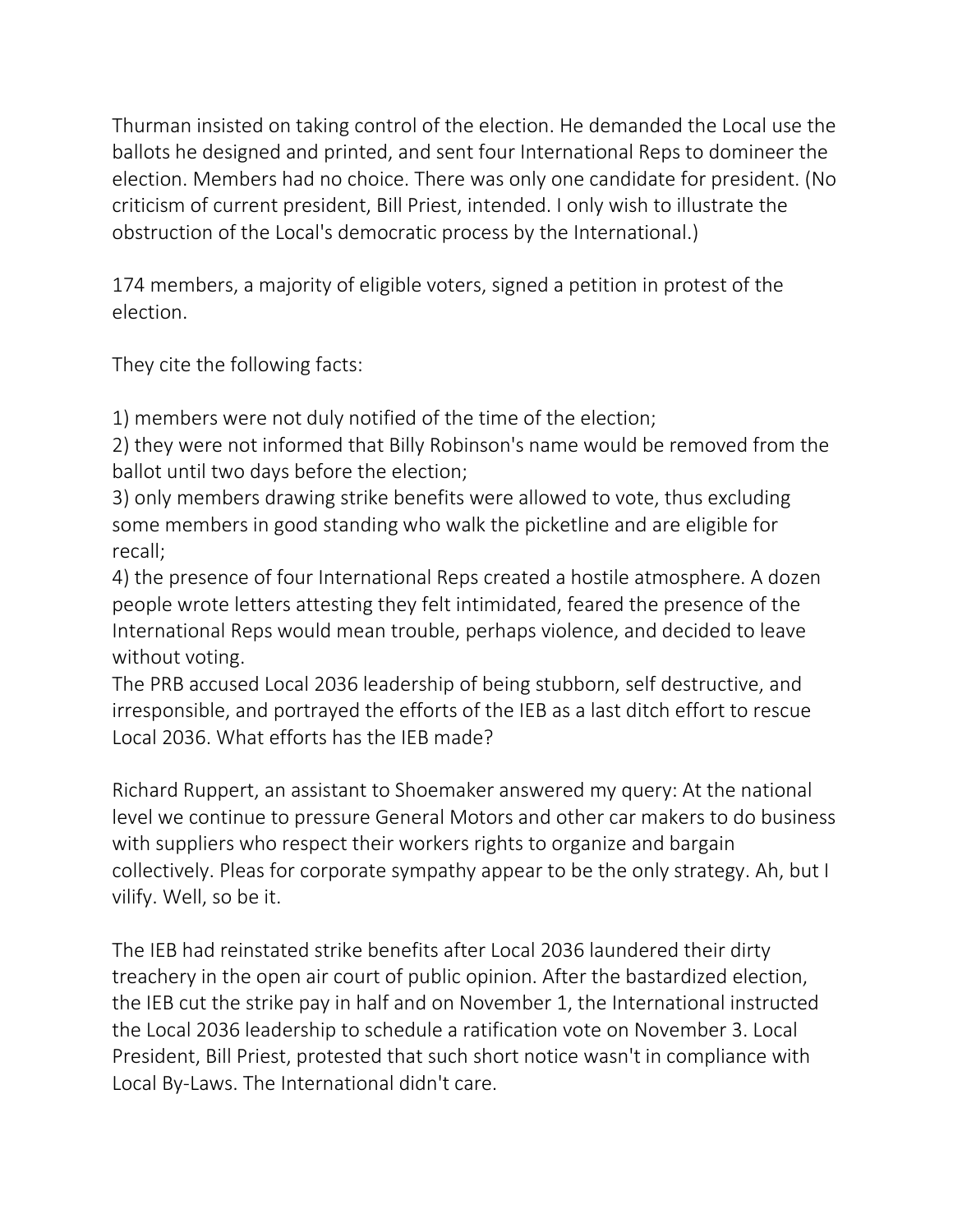Thurman insisted on taking control of the election. He demanded the Local use the ballots he designed and printed, and sent four International Reps to domineer the election. Members had no choice. There was only one candidate for president. (No criticism of current president, Bill Priest, intended. I only wish to illustrate the obstruction of the Local's democratic process by the International.)

174 members, a majority of eligible voters, signed a petition in protest of the election.

They cite the following facts:

1) members were not duly notified of the time of the election;

2) they were not informed that Billy Robinson's name would be removed from the ballot until two days before the election;

3) only members drawing strike benefits were allowed to vote, thus excluding some members in good standing who walk the picketline and are eligible for recall;

4) the presence of four International Reps created a hostile atmosphere. A dozen people wrote letters attesting they felt intimidated, feared the presence of the International Reps would mean trouble, perhaps violence, and decided to leave without voting.

The PRB accused Local 2036 leadership of being stubborn, self destructive, and irresponsible, and portrayed the efforts of the IEB as a last ditch effort to rescue Local 2036. What efforts has the IEB made?

Richard Ruppert, an assistant to Shoemaker answered my query: At the national level we continue to pressure General Motors and other car makers to do business with suppliers who respect their workers rights to organize and bargain collectively. Pleas for corporate sympathy appear to be the only strategy. Ah, but I vilify. Well, so be it.

The IEB had reinstated strike benefits after Local 2036 laundered their dirty treachery in the open air court of public opinion. After the bastardized election, the IEB cut the strike pay in half and on November 1, the International instructed the Local 2036 leadership to schedule a ratification vote on November 3. Local President, Bill Priest, protested that such short notice wasn't in compliance with Local By-Laws. The International didn't care.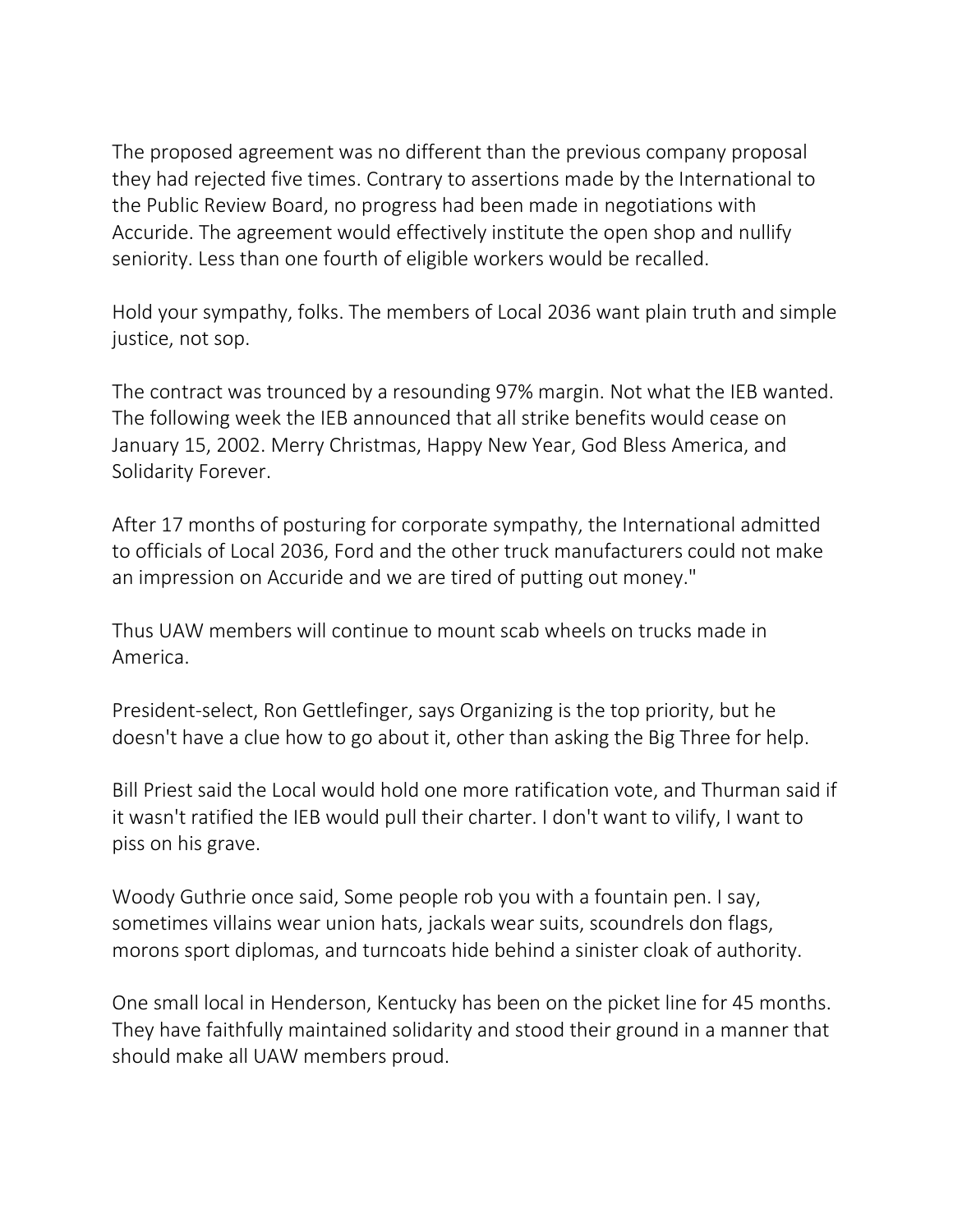The proposed agreement was no different than the previous company proposal they had rejected five times. Contrary to assertions made by the International to the Public Review Board, no progress had been made in negotiations with Accuride. The agreement would effectively institute the open shop and nullify seniority. Less than one fourth of eligible workers would be recalled.

Hold your sympathy, folks. The members of Local 2036 want plain truth and simple justice, not sop.

The contract was trounced by a resounding 97% margin. Not what the IEB wanted. The following week the IEB announced that all strike benefits would cease on January 15, 2002. Merry Christmas, Happy New Year, God Bless America, and Solidarity Forever.

After 17 months of posturing for corporate sympathy, the International admitted to officials of Local 2036, Ford and the other truck manufacturers could not make an impression on Accuride and we are tired of putting out money."

Thus UAW members will continue to mount scab wheels on trucks made in America.

President-select, Ron Gettlefinger, says Organizing is the top priority, but he doesn't have a clue how to go about it, other than asking the Big Three for help.

Bill Priest said the Local would hold one more ratification vote, and Thurman said if it wasn't ratified the IEB would pull their charter. I don't want to vilify, I want to piss on his grave.

Woody Guthrie once said, Some people rob you with a fountain pen. I say, sometimes villains wear union hats, jackals wear suits, scoundrels don flags, morons sport diplomas, and turncoats hide behind a sinister cloak of authority.

One small local in Henderson, Kentucky has been on the picket line for 45 months. They have faithfully maintained solidarity and stood their ground in a manner that should make all UAW members proud.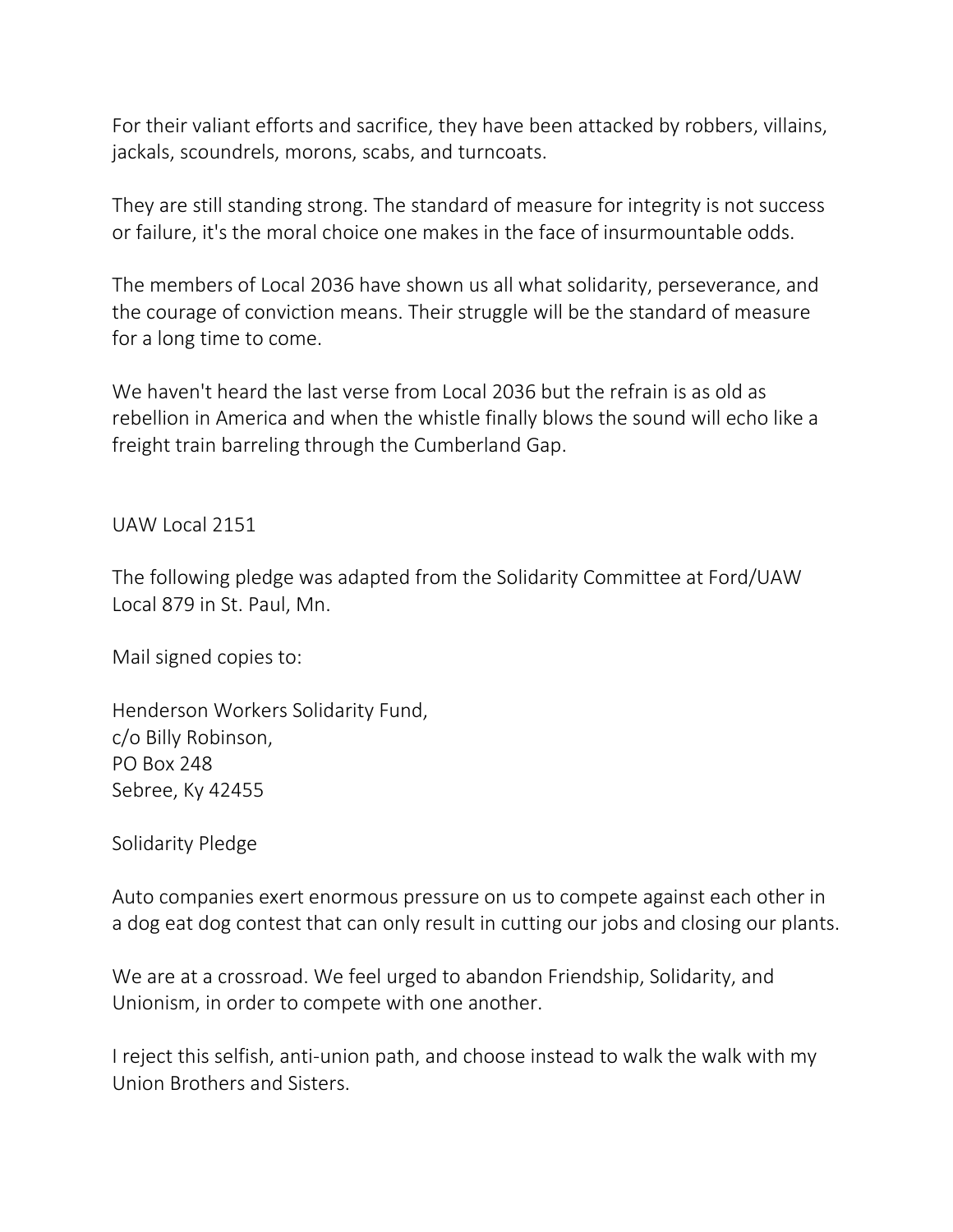For their valiant efforts and sacrifice, they have been attacked by robbers, villains, jackals, scoundrels, morons, scabs, and turncoats.

They are still standing strong. The standard of measure for integrity is not success or failure, it's the moral choice one makes in the face of insurmountable odds.

The members of Local 2036 have shown us all what solidarity, perseverance, and the courage of conviction means. Their struggle will be the standard of measure for a long time to come.

We haven't heard the last verse from Local 2036 but the refrain is as old as rebellion in America and when the whistle finally blows the sound will echo like a freight train barreling through the Cumberland Gap.

## UAW Local 2151

The following pledge was adapted from the Solidarity Committee at Ford/UAW Local 879 in St. Paul, Mn.

Mail signed copies to:

Henderson Workers Solidarity Fund, c/o Billy Robinson, PO Box 248 Sebree, Ky 42455

Solidarity Pledge

Auto companies exert enormous pressure on us to compete against each other in a dog eat dog contest that can only result in cutting our jobs and closing our plants.

We are at a crossroad. We feel urged to abandon Friendship, Solidarity, and Unionism, in order to compete with one another.

I reject this selfish, anti-union path, and choose instead to walk the walk with my Union Brothers and Sisters.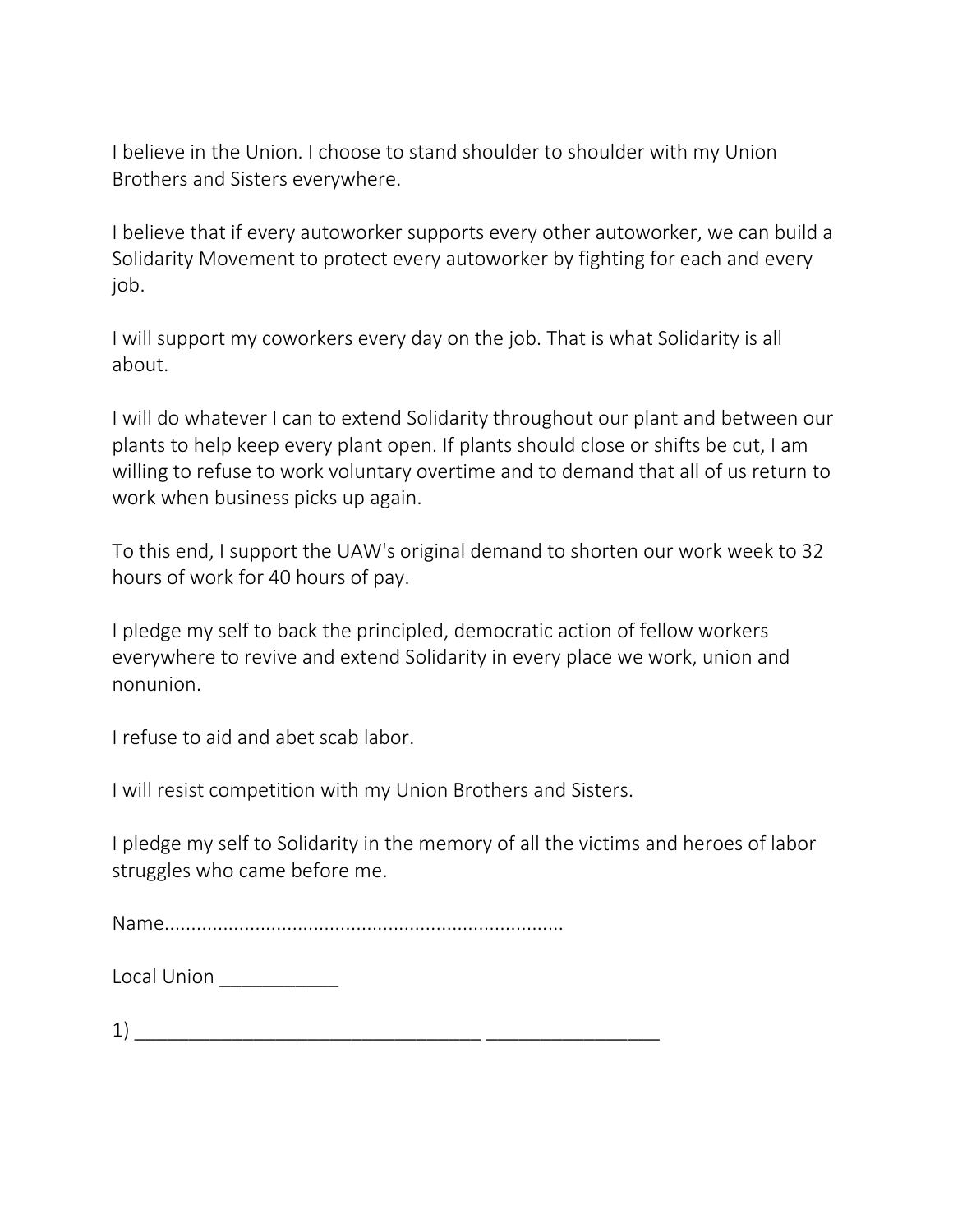I believe in the Union. I choose to stand shoulder to shoulder with my Union Brothers and Sisters everywhere.

I believe that if every autoworker supports every other autoworker, we can build a Solidarity Movement to protect every autoworker by fighting for each and every job.

I will support my coworkers every day on the job. That is what Solidarity is all about.

I will do whatever I can to extend Solidarity throughout our plant and between our plants to help keep every plant open. If plants should close or shifts be cut, I am willing to refuse to work voluntary overtime and to demand that all of us return to work when business picks up again.

To this end, I support the UAW's original demand to shorten our work week to 32 hours of work for 40 hours of pay.

I pledge my self to back the principled, democratic action of fellow workers everywhere to revive and extend Solidarity in every place we work, union and nonunion.

I refuse to aid and abet scab labor.

I will resist competition with my Union Brothers and Sisters.

I pledge my self to Solidarity in the memory of all the victims and heroes of labor struggles who came before me.

Name...........................................................................

| Local Union |  |
|-------------|--|
|-------------|--|

 $\left( 1\right)$   $\frac{1}{\left( 1\right) -1}$   $\frac{1}{\left( 1\right) -1}$   $\frac{1}{\left( 1\right) -1}$   $\frac{1}{\left( 1\right) -1}$   $\frac{1}{\left( 1\right) -1}$   $\frac{1}{\left( 1\right) -1}$   $\frac{1}{\left( 1\right) -1}$   $\frac{1}{\left( 1\right) -1}$   $\frac{1}{\left( 1\right) -1}$   $\frac{1}{\left( 1\right) -1}$   $\frac{1}{\left( 1\right) -1}$